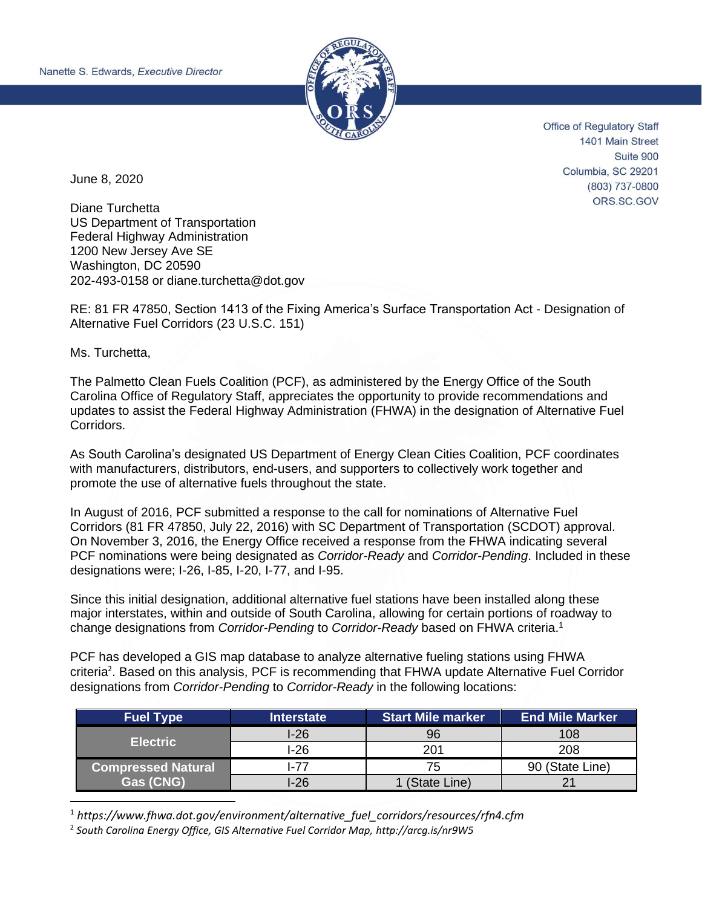

**Office of Regulatory Staff** 1401 Main Street Suite 900 Columbia, SC 29201 (803) 737-0800 ORS.SC.GOV

June 8, 2020

Diane Turchetta US Department of Transportation Federal Highway Administration 1200 New Jersey Ave SE Washington, DC 20590 202-493-0158 or diane.turchetta@dot.gov

RE: 81 FR 47850, Section 1413 of the Fixing America's Surface Transportation Act - Designation of Alternative Fuel Corridors (23 U.S.C. 151)

Ms. Turchetta,

The Palmetto Clean Fuels Coalition (PCF), as administered by the Energy Office of the South Carolina Office of Regulatory Staff, appreciates the opportunity to provide recommendations and updates to assist the Federal Highway Administration (FHWA) in the designation of Alternative Fuel Corridors.

As South Carolina's designated US Department of Energy Clean Cities Coalition, PCF coordinates with manufacturers, distributors, end-users, and supporters to collectively work together and promote the use of alternative fuels throughout the state.

In August of 2016, PCF submitted a response to the call for nominations of Alternative Fuel Corridors (81 FR 47850, July 22, 2016) with SC Department of Transportation (SCDOT) approval. On November 3, 2016, the Energy Office received a response from the FHWA indicating several PCF nominations were being designated as *Corridor-Ready* and *Corridor-Pending*. Included in these designations were; I-26, I-85, I-20, I-77, and I-95.

Since this initial designation, additional alternative fuel stations have been installed along these major interstates, within and outside of South Carolina, allowing for certain portions of roadway to change designations from *Corridor-Pending* to *Corridor-Ready* based on FHWA criteria.<sup>1</sup>

PCF has developed a GIS map database to analyze alternative fueling stations using FHWA criteria<sup>2</sup>. Based on this analysis, PCF is recommending that FHWA update Alternative Fuel Corridor designations from *Corridor-Pending* to *Corridor-Ready* in the following locations:

| <b>Fuel Type</b>          | <b>Interstate</b> | <b>Start Mile marker</b> | <b>End Mile Marker</b> |
|---------------------------|-------------------|--------------------------|------------------------|
|                           | l-26              | 96                       | 108                    |
| <b>Electric</b>           | $I-26$            | 201                      | 208                    |
| <b>Compressed Natural</b> | $-77$             |                          | 90 (State Line)        |
| <b>Gas (CNG)</b>          | l-26              | 1 (State Line)           |                        |

<sup>1</sup> *[https://www.fhwa.dot.gov/environment/alternative\\_fuel\\_corridors/resources/rfn4.cfm](https://www.fhwa.dot.gov/environment/alternative_fuel_corridors/resources/rfn4.cfm)*

2 *South Carolina Energy Office, GIS Alternative Fuel Corridor Map,<http://arcg.is/nr9W5>*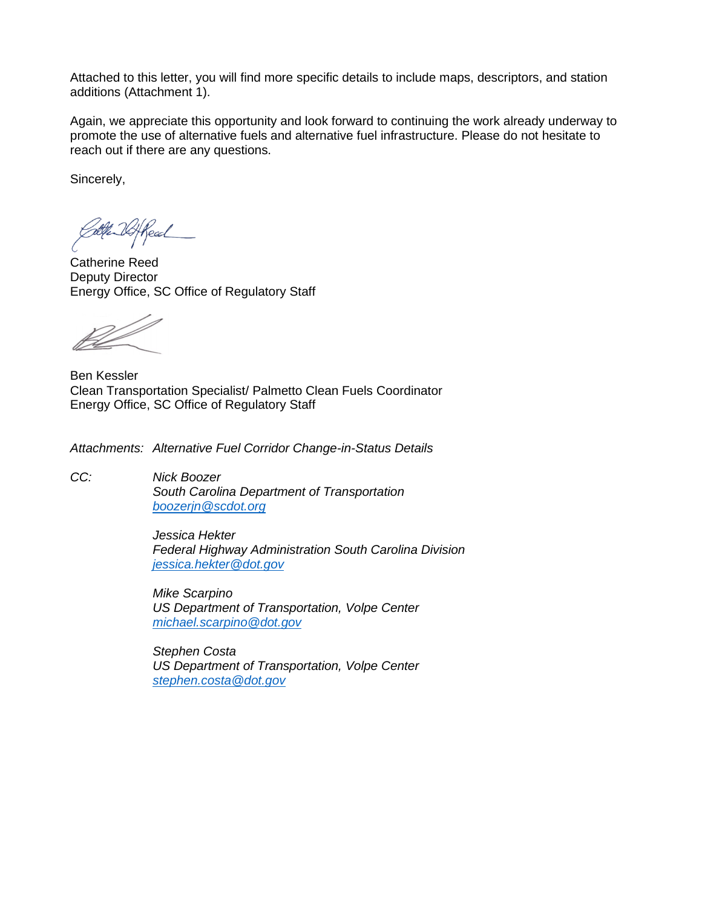Attached to this letter, you will find more specific details to include maps, descriptors, and station additions (Attachment 1).

Again, we appreciate this opportunity and look forward to continuing the work already underway to promote the use of alternative fuels and alternative fuel infrastructure. Please do not hesitate to reach out if there are any questions.

Sincerely,

Read

Catherine Reed Deputy Director Energy Office, SC Office of Regulatory Staff

Ben Kessler Clean Transportation Specialist/ Palmetto Clean Fuels Coordinator Energy Office, SC Office of Regulatory Staff

*Attachments: Alternative Fuel Corridor Change-in-Status Details*

*CC: Nick Boozer South Carolina Department of Transportation [boozerjn@scdot.org](mailto:boozerjn@scdot.org)*

> *Jessica Hekter Federal Highway Administration South Carolina Division [jessica.hekter@dot.gov](mailto:jessica.hekter@dot.gov)*

*Mike Scarpino US Department of Transportation, Volpe Center [michael.scarpino@dot.gov](mailto:michael.scarpino@dot.gov)*

*Stephen Costa US Department of Transportation, Volpe Center [stephen.costa@dot.gov](mailto:stephen.costa@dot.gov)*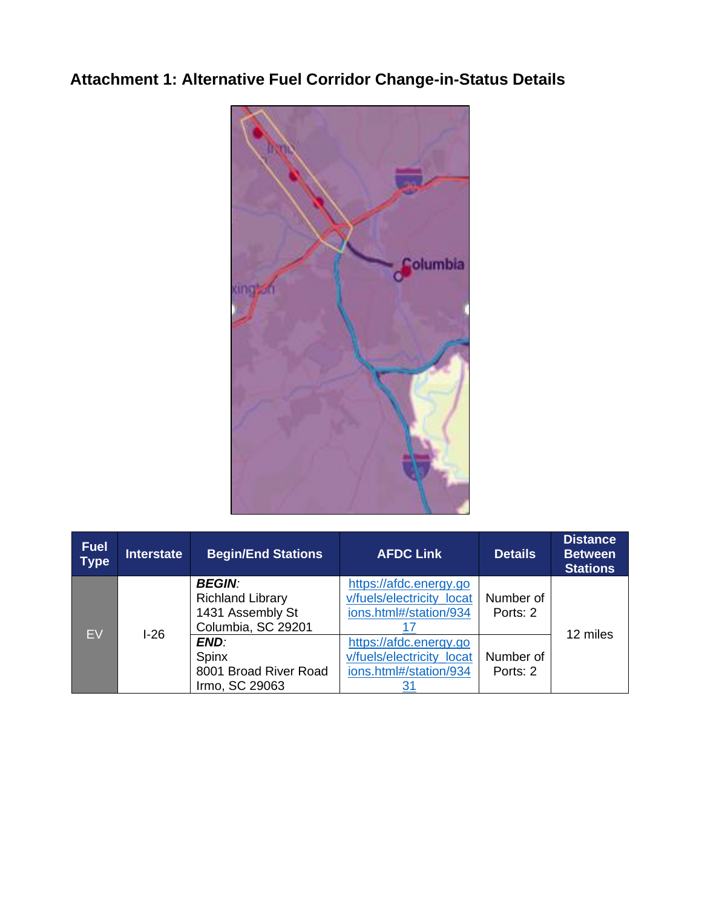## **Attachment 1: Alternative Fuel Corridor Change-in-Status Details**



| <b>Fuel</b><br><b>Type</b> | <b>Interstate</b> | <b>Begin/End Stations</b>                                                             | <b>AFDC Link</b>                                                              | <b>Details</b>        | <b>Distance</b><br><b>Between</b><br><b>Stations</b> |
|----------------------------|-------------------|---------------------------------------------------------------------------------------|-------------------------------------------------------------------------------|-----------------------|------------------------------------------------------|
| EV                         | $1-26$            | <b>BEGIN:</b><br><b>Richland Library</b><br>1431 Assembly St                          | https://afdc.energy.go<br>v/fuels/electricity locat<br>ions.html#/station/934 | Number of<br>Ports: 2 | 12 miles                                             |
|                            |                   | Columbia, SC 29201<br><b>END:</b><br>Spinx<br>8001 Broad River Road<br>Irmo, SC 29063 | https://afdc.energy.go<br>v/fuels/electricity locat<br>ions.html#/station/934 | Number of<br>Ports: 2 |                                                      |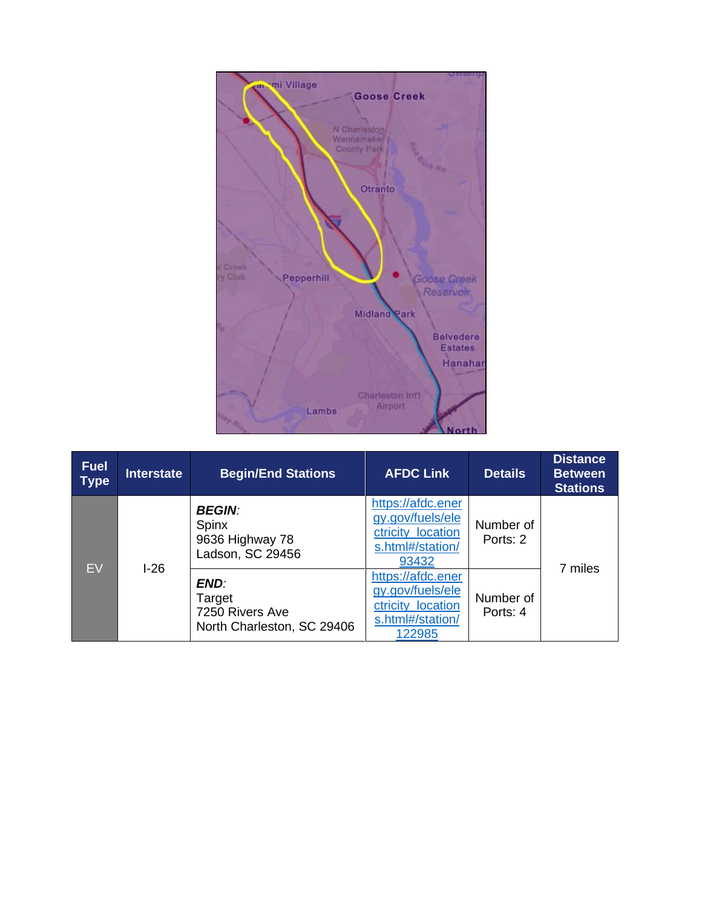

| <b>Fuel</b><br><b>Type</b> | <b>Interstate</b> | <b>Begin/End Stations</b>                                       | <b>AFDC Link</b>                                                                         | <b>Details</b>        | <b>Distance</b><br><b>Between</b><br><b>Stations</b> |
|----------------------------|-------------------|-----------------------------------------------------------------|------------------------------------------------------------------------------------------|-----------------------|------------------------------------------------------|
| EV                         | $1-26$            | <b>BEGIN:</b><br>Spinx<br>9636 Highway 78<br>Ladson, SC 29456   | https://afdc.ener<br>gy.gov/fuels/ele<br>ctricity location<br>s.html#/station/<br>93432  | Number of<br>Ports: 2 | 7 miles                                              |
|                            |                   | END:<br>Target<br>7250 Rivers Ave<br>North Charleston, SC 29406 | https://afdc.ener<br>gy.gov/fuels/ele<br>ctricity_location<br>s.html#/station/<br>122985 | Number of<br>Ports: 4 |                                                      |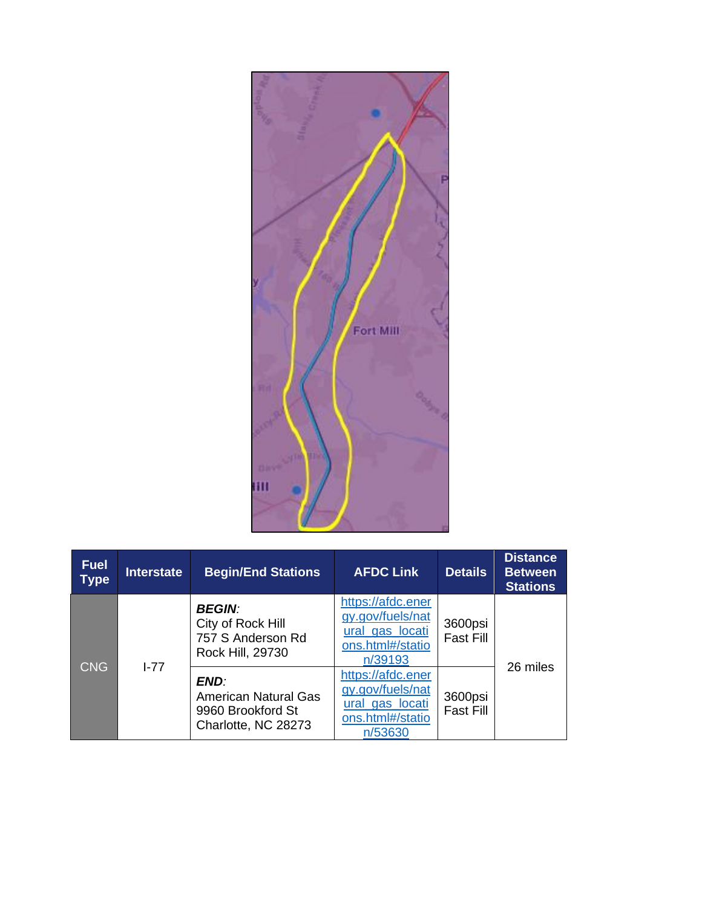

| <b>Fuel</b><br><b>Type</b> | <b>Interstate</b> | <b>Begin/End Stations</b>                                                       | <b>AFDC Link</b>                                                                        | <b>Details</b>              | <b>Distance</b><br><b>Between</b><br><b>Stations</b> |
|----------------------------|-------------------|---------------------------------------------------------------------------------|-----------------------------------------------------------------------------------------|-----------------------------|------------------------------------------------------|
| <b>CNG</b>                 | $I - 77$          | <b>BEGIN:</b><br>City of Rock Hill<br>757 S Anderson Rd<br>Rock Hill, 29730     | https://afdc.ener<br>gy.gov/fuels/nat<br>ural gas locati<br>ons.html#/statio<br>n/39193 | 3600psi<br><b>Fast Fill</b> | 26 miles                                             |
|                            |                   | END:<br><b>American Natural Gas</b><br>9960 Brookford St<br>Charlotte, NC 28273 | https://afdc.ener<br>gy.gov/fuels/nat<br>ural gas locati<br>ons.html#/statio<br>n/53630 | 3600psi<br><b>Fast Fill</b> |                                                      |